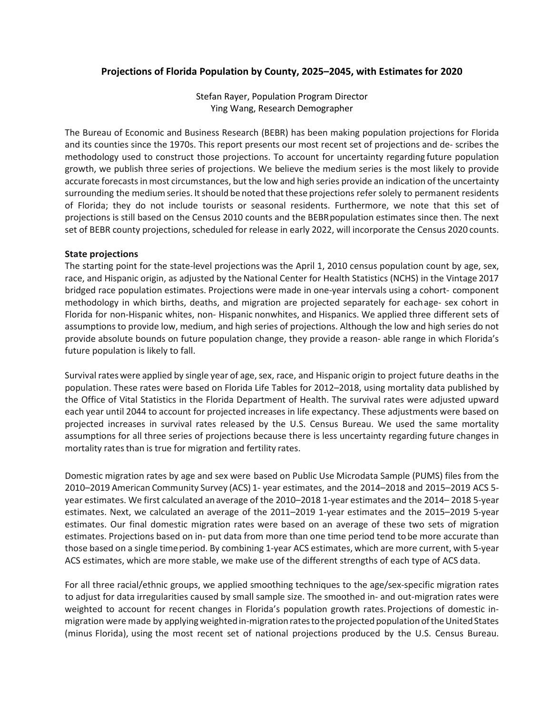# **Projections of Florida Population by County, 2025–2045, with Estimates for 2020**

Stefan Rayer, Population Program Director Ying Wang, Research Demographer

The Bureau of Economic and Business Research (BEBR) has been making population projections for Florida and its counties since the 1970s. This report presents our most recent set of projections and de- scribes the methodology used to construct those projections. To account for uncertainty regarding future population growth, we publish three series of projections. We believe the medium series is the most likely to provide accurate forecasts in most circumstances, but the low and high series provide an indication of the uncertainty surrounding the medium series. It should be noted that these projections refer solely to permanent residents of Florida; they do not include tourists or seasonal residents. Furthermore, we note that this set of projections is still based on the Census 2010 counts and the BEBRpopulation estimates since then. The next set of BEBR county projections, scheduled for release in early 2022, will incorporate the Census 2020 counts.

### **State projections**

The starting point for the state-level projections was the April 1, 2010 census population count by age, sex, race, and Hispanic origin, as adjusted by the National Center for Health Statistics (NCHS) in the Vintage 2017 bridged race population estimates. Projections were made in one-year intervals using a cohort- component methodology in which births, deaths, and migration are projected separately for eachage- sex cohort in Florida for non-Hispanic whites, non- Hispanic nonwhites, and Hispanics. We applied three different sets of assumptions to provide low, medium, and high series of projections. Although the low and high series do not provide absolute bounds on future population change, they provide a reason- able range in which Florida's future population is likely to fall.

Survival rates were applied by single year of age, sex, race, and Hispanic origin to project future deaths in the population. These rates were based on Florida Life Tables for 2012–2018, using mortality data published by the Office of Vital Statistics in the Florida Department of Health. The survival rates were adjusted upward each year until 2044 to account for projected increases in life expectancy. These adjustments were based on projected increases in survival rates released by the U.S. Census Bureau. We used the same mortality assumptions for all three series of projections because there is less uncertainty regarding future changes in mortality rates than is true for migration and fertility rates.

Domestic migration rates by age and sex were based on Public Use Microdata Sample (PUMS) files from the 2010–2019 American Community Survey (ACS) 1- year estimates, and the 2014–2018 and 2015–2019 ACS 5 year estimates. We first calculated anaverage of the 2010–2018 1-year estimates and the 2014– 2018 5-year estimates. Next, we calculated an average of the 2011–2019 1-year estimates and the 2015–2019 5-year estimates. Our final domestic migration rates were based on an average of these two sets of migration estimates. Projections based on in- put data from more than one time period tend tobe more accurate than those based on a single timeperiod. By combining 1-year ACS estimates, which are more current, with 5-year ACS estimates, which are more stable, we make use of the different strengths of each type of ACS data.

For all three racial/ethnic groups, we applied smoothing techniques to the age/sex-specific migration rates to adjust for data irregularities caused by small sample size. The smoothed in- and out-migration rates were weighted to account for recent changes in Florida's population growth rates. Projections of domestic inmigration were made by applying weighted in-migration rates to the projected population of the United States (minus Florida), using the most recent set of national projections produced by the U.S. Census Bureau.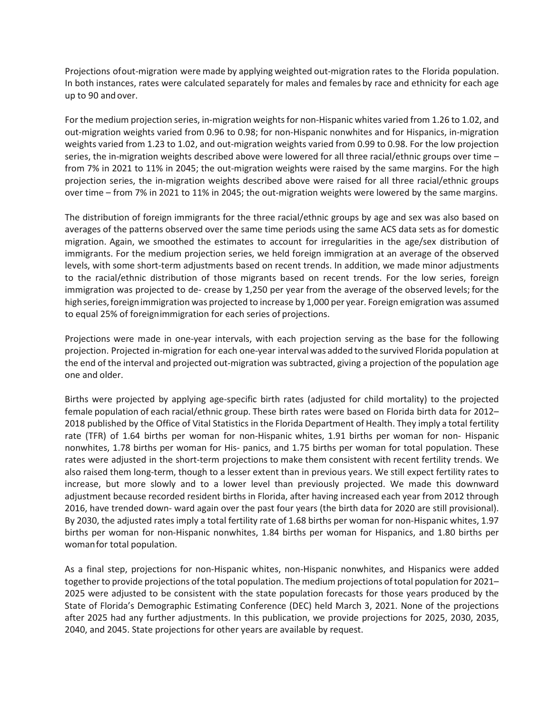Projections ofout-migration were made by applying weighted out-migration rates to the Florida population. In both instances, rates were calculated separately for males and females by race and ethnicity for each age up to 90 andover.

For the medium projection series, in-migration weights for non-Hispanic whites varied from 1.26 to 1.02, and out-migration weights varied from 0.96 to 0.98; for non-Hispanic nonwhites and for Hispanics, in-migration weights varied from 1.23 to 1.02, and out-migration weights varied from 0.99 to 0.98. For the low projection series, the in-migration weights described above were lowered for all three racial/ethnic groups over time – from 7% in 2021 to 11% in 2045; the out-migration weights were raised by the same margins. For the high projection series, the in-migration weights described above were raised for all three racial/ethnic groups over time – from 7% in 2021 to 11% in 2045; the out-migration weights were lowered by the same margins.

The distribution of foreign immigrants for the three racial/ethnic groups by age and sex was also based on averages of the patterns observed over the same time periods using the same ACS data sets as for domestic migration. Again, we smoothed the estimates to account for irregularities in the age/sex distribution of immigrants. For the medium projection series, we held foreign immigration at an average of the observed levels, with some short-term adjustments based on recent trends. In addition, we made minor adjustments to the racial/ethnic distribution of those migrants based on recent trends. For the low series, foreign immigration was projected to de- crease by 1,250 per year from the average of the observed levels; for the high series, foreign immigration was projected to increase by 1,000 per year. Foreign emigration was assumed to equal 25% of foreignimmigration for each series of projections.

Projections were made in one-year intervals, with each projection serving as the base for the following projection. Projected in-migration for each one-year intervalwas added to the survived Florida population at the end of the interval and projected out-migration was subtracted, giving a projection of the population age one and older.

Births were projected by applying age-specific birth rates (adjusted for child mortality) to the projected female population of each racial/ethnic group. These birth rates were based on Florida birth data for 2012– 2018 published by the Office of Vital Statistics in the Florida Department of Health. They imply a total fertility rate (TFR) of 1.64 births per woman for non-Hispanic whites, 1.91 births per woman for non- Hispanic nonwhites, 1.78 births per woman for His- panics, and 1.75 births per woman for total population. These rates were adjusted in the short-term projections to make them consistent with recent fertility trends. We also raised them long-term, though to a lesser extent than in previous years. We still expect fertility rates to increase, but more slowly and to a lower level than previously projected. We made this downward adjustment because recorded resident births in Florida, after having increased each year from 2012 through 2016, have trended down- ward again over the past four years (the birth data for 2020 are still provisional). By 2030, the adjusted rates imply a total fertility rate of 1.68 births per woman for non-Hispanic whites, 1.97 births per woman for non-Hispanic nonwhites, 1.84 births per woman for Hispanics, and 1.80 births per womanfor total population.

As a final step, projections for non-Hispanic whites, non-Hispanic nonwhites, and Hispanics were added together to provide projections of the total population. The medium projections of total population for 2021– 2025 were adjusted to be consistent with the state population forecasts for those years produced by the State of Florida's Demographic Estimating Conference (DEC) held March 3, 2021. None of the projections after 2025 had any further adjustments. In this publication, we provide projections for 2025, 2030, 2035, 2040, and 2045. State projections for other years are available by request.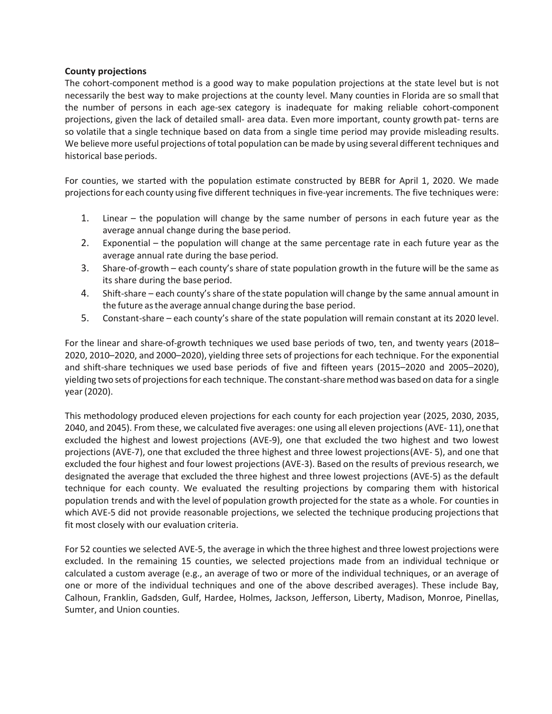### **County projections**

The cohort-component method is a good way to make population projections at the state level but is not necessarily the best way to make projections at the county level. Many counties in Florida are so small that the number of persons in each age-sex category is inadequate for making reliable cohort-component projections, given the lack of detailed small- area data. Even more important, county growth pat- terns are so volatile that a single technique based on data from a single time period may provide misleading results. We believe more useful projections of total population can be made by using several different techniques and historical base periods.

For counties, we started with the population estimate constructed by BEBR for April 1, 2020. We made projectionsfor each county using five different techniques in five-year increments. The five techniques were:

- 1. Linear the population will change by the same number of persons in each future year as the average annual change during the base period.
- 2. Exponential the population will change at the same percentage rate in each future year as the average annual rate during the base period.
- 3. Share-of-growth each county's share of state population growth in the future will be the same as its share during the base period.
- 4. Shift-share each county's share of the state population will change by the same annual amount in the future asthe average annual change during the base period.
- 5. Constant-share each county's share of the state population will remain constant at its 2020 level.

For the linear and share-of-growth techniques we used base periods of two, ten, and twenty years (2018– 2020, 2010–2020, and 2000–2020), yielding three sets of projections for each technique. For the exponential and shift-share techniques we used base periods of five and fifteen years (2015–2020 and 2005–2020), yielding two sets of projections for each technique. The constant-share method was based on data for a single year (2020).

This methodology produced eleven projections for each county for each projection year (2025, 2030, 2035, 2040, and 2045). From these, we calculated five averages: one using all eleven projections (AVE- 11),onethat excluded the highest and lowest projections (AVE-9), one that excluded the two highest and two lowest projections (AVE-7), one that excluded the three highest and three lowest projections(AVE- 5), and one that excluded the four highest and four lowest projections (AVE-3). Based on the results of previous research, we designated the average that excluded the three highest and three lowest projections (AVE-5) as the default technique for each county. We evaluated the resulting projections by comparing them with historical population trends and with the level of population growth projected for the state as a whole. For counties in which AVE-5 did not provide reasonable projections, we selected the technique producing projections that fit most closely with our evaluation criteria.

For 52 counties we selected AVE-5, the average in which the three highest and three lowest projections were excluded. In the remaining 15 counties, we selected projections made from an individual technique or calculated a custom average (e.g., an average of two or more of the individual techniques, or an average of one or more of the individual techniques and one of the above described averages). These include Bay, Calhoun, Franklin, Gadsden, Gulf, Hardee, Holmes, Jackson, Jefferson, Liberty, Madison, Monroe, Pinellas, Sumter, and Union counties.